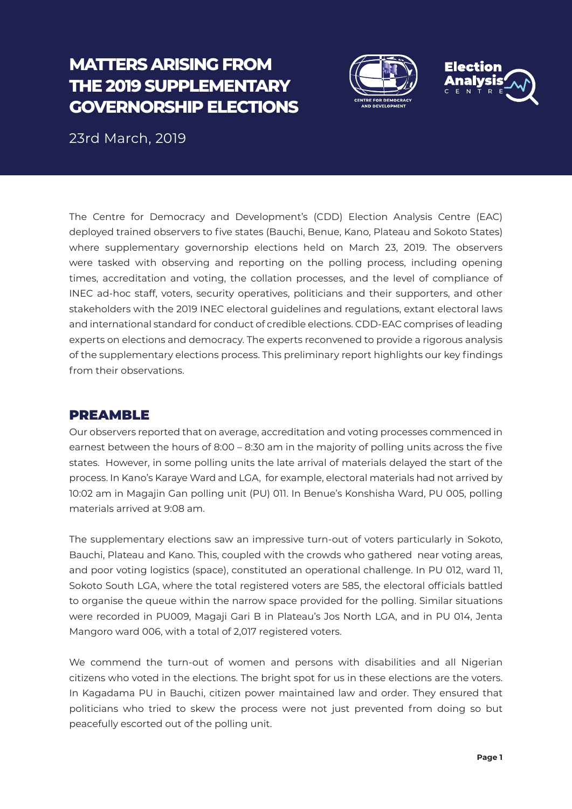# **MATTERS ARISING FROM THE 2019 SUPPLEMENTARY GOVERNORSHIP ELECTIONS**





23rd March, 2019

The Centre for Democracy and Development's (CDD) Election Analysis Centre (EAC) deployed trained observers to five states (Bauchi, Benue, Kano, Plateau and Sokoto States) where supplementary governorship elections held on March 23, 2019. The observers were tasked with observing and reporting on the polling process, including opening times, accreditation and voting, the collation processes, and the level of compliance of INEC ad-hoc staff, voters, security operatives, politicians and their supporters, and other stakeholders with the 2019 INEC electoral guidelines and regulations, extant electoral laws and international standard for conduct of credible elections. CDD-EAC comprises of leading experts on elections and democracy. The experts reconvened to provide a rigorous analysis of the supplementary elections process. This preliminary report highlights our key findings from their observations.

# PREAMBLE

Our observers reported that on average, accreditation and voting processes commenced in earnest between the hours of 8:00 – 8:30 am in the majority of polling units across the five states. However, in some polling units the late arrival of materials delayed the start of the process. In Kano's Karaye Ward and LGA, for example, electoral materials had not arrived by 10:02 am in Magajin Gan polling unit (PU) 011. In Benue's Konshisha Ward, PU 005, polling materials arrived at 9:08 am.

The supplementary elections saw an impressive turn-out of voters particularly in Sokoto, Bauchi, Plateau and Kano. This, coupled with the crowds who gathered near voting areas, and poor voting logistics (space), constituted an operational challenge. In PU 012, ward 11, Sokoto South LGA, where the total registered voters are 585, the electoral officials battled to organise the queue within the narrow space provided for the polling. Similar situations were recorded in PU009, Magaji Gari B in Plateau's Jos North LGA, and in PU 014, Jenta Mangoro ward 006, with a total of 2,017 registered voters.

We commend the turn-out of women and persons with disabilities and all Nigerian citizens who voted in the elections. The bright spot for us in these elections are the voters. In Kagadama PU in Bauchi, citizen power maintained law and order. They ensured that politicians who tried to skew the process were not just prevented from doing so but peacefully escorted out of the polling unit.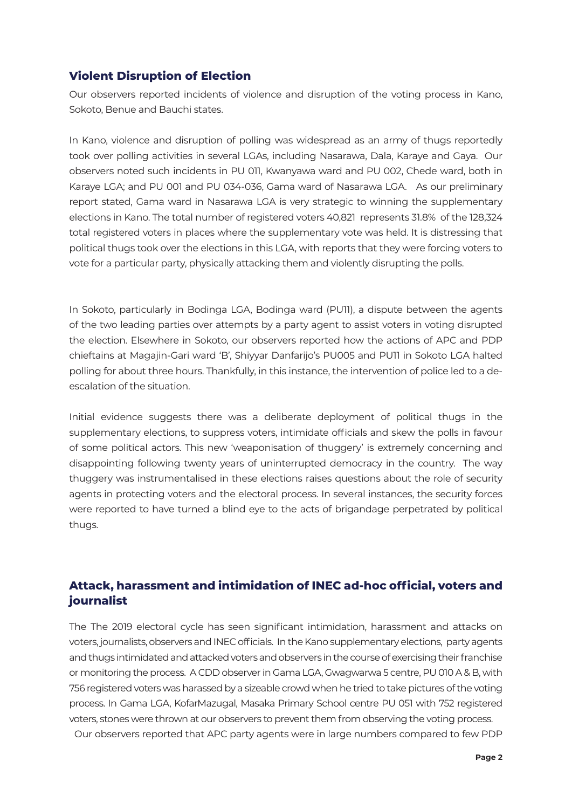### **Violent Disruption of Election**

Our observers reported incidents of violence and disruption of the voting process in Kano, Sokoto, Benue and Bauchi states.

In Kano, violence and disruption of polling was widespread as an army of thugs reportedly took over polling activities in several LGAs, including Nasarawa, Dala, Karaye and Gaya. Our observers noted such incidents in PU 011, Kwanyawa ward and PU 002, Chede ward, both in Karaye LGA; and PU 001 and PU 034-036, Gama ward of Nasarawa LGA. As our preliminary report stated, Gama ward in Nasarawa LGA is very strategic to winning the supplementary elections in Kano. The total number of registered voters 40,821 represents 31.8% of the 128,324 total registered voters in places where the supplementary vote was held. It is distressing that political thugs took over the elections in this LGA, with reports that they were forcing voters to vote for a particular party, physically attacking them and violently disrupting the polls.

In Sokoto, particularly in Bodinga LGA, Bodinga ward (PU11), a dispute between the agents of the two leading parties over attempts by a party agent to assist voters in voting disrupted the election. Elsewhere in Sokoto, our observers reported how the actions of APC and PDP chieftains at Magajin-Gari ward 'B', Shiyyar Danfarijo's PU005 and PU11 in Sokoto LGA halted polling for about three hours. Thankfully, in this instance, the intervention of police led to a deescalation of the situation.

Initial evidence suggests there was a deliberate deployment of political thugs in the supplementary elections, to suppress voters, intimidate officials and skew the polls in favour of some political actors. This new 'weaponisation of thuggery' is extremely concerning and disappointing following twenty years of uninterrupted democracy in the country. The way thuggery was instrumentalised in these elections raises questions about the role of security agents in protecting voters and the electoral process. In several instances, the security forces were reported to have turned a blind eye to the acts of brigandage perpetrated by political thugs.

# **Attack, harassment and intimidation of INEC ad-hoc official, voters and journalist**

The The 2019 electoral cycle has seen significant intimidation, harassment and attacks on voters, journalists, observers and INEC officials. In the Kano supplementary elections, party agents and thugs intimidated and attacked voters and observers in the course of exercising their franchise or monitoring the process. A CDD observer in Gama LGA, Gwagwarwa 5 centre, PU 010 A & B, with 756 registered voters was harassed by a sizeable crowd when he tried to take pictures of the voting process. In Gama LGA, KofarMazugal, Masaka Primary School centre PU 051 with 752 registered voters, stones were thrown at our observers to prevent them from observing the voting process.

Our observers reported that APC party agents were in large numbers compared to few PDP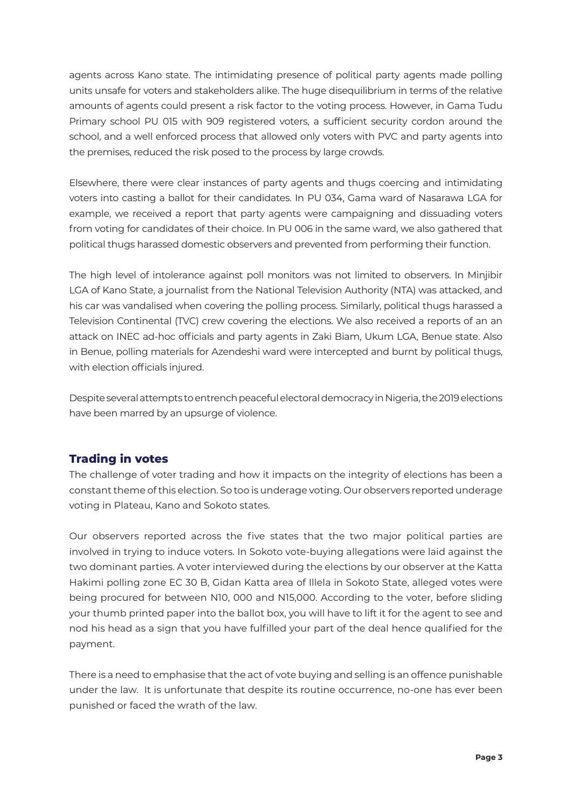agents across Kano state. The intimidating presence of political party agents made polling units unsafe for voters and stakeholders alike. The huge disequilibrium in terms of the relative amounts of agents could present a risk factor to the voting process. However, in Gama Tudu Primary school PU 015 with 909 registered voters, a sufficient security cordon around the school, and a well enforced process that allowed only voters with PVC and party agents into the premises, reduced the risk posed to the process by large crowds.

Elsewhere, there were clear instances of party agents and thugs coercing and intimidating voters into casting a ballot for their candidates. In PU 034, Gama ward of Nasarawa LGA for example, we received a report that party agents were campaigning and dissuading voters from voting for candidates of their choice. In PU 006 in the same ward, we also gathered that political thugs harassed domestic observers and prevented from performing their function.

The high level of intolerance against poll monitors was not limited to observers. In Minjibir LGA of Kano State, a journalist from the National Television Authority (NTA) was attacked, and his car was vandalised when covering the polling process. Similarly, political thugs harassed a Television Continental (TVC) crew covering the elections. We also received a reports of an an attack on INEC ad-hoc officials and party agents in Zaki Biam, Ukum LGA, Benue state. Also in Benue, polling materials for Azendeshi ward were intercepted and burnt by political thugs, with election officials injured.

Despite several attempts to entrench peaceful electoral democracy in Nigeria, the 2019 elections have been marred by an upsurge of violence.

# **Trading in votes**

The challenge of voter trading and how it impacts on the integrity of elections has been a constant theme of this election. So too is underage voting. Our observers reported underage voting in Plateau, Kano and Sokoto states.

Our observers reported across the five states that the two major political parties are involved in trying to induce voters. In Sokoto vote-buying allegations were laid against the two dominant parties. A voter interviewed during the elections by our observer at the Katta Hakimi polling zone EC 30 B, Gidan Katta area of Illela in Sokoto State, alleged votes were being procured for between N10, 000 and N15,000. According to the voter, before sliding your thumb printed paper into the ballot box, you will have to lift it for the agent to see and nod his head as a sign that you have fulfilled your part of the deal hence qualified for the payment.

There is a need to emphasise that the act of vote buying and selling is an offence punishable under the law. It is unfortunate that despite its routine occurrence, no-one has ever been punished or faced the wrath of the law.